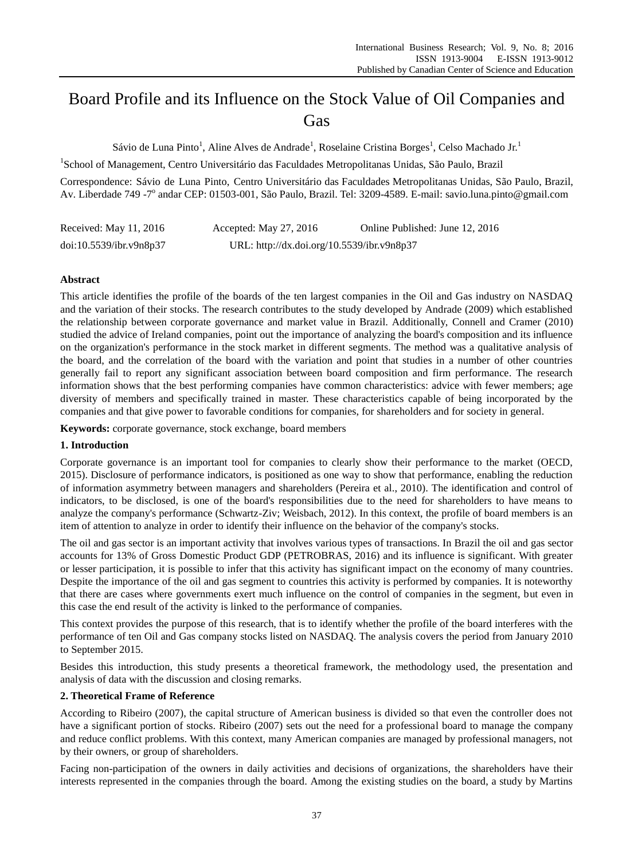# Board Profile and its Influence on the Stock Value of Oil Companies and **Gas**

S ávio de Luna Pinto<sup>1</sup>, Aline Alves de Andrade<sup>1</sup>, Roselaine Cristina Borges<sup>1</sup>, Celso Machado Jr.<sup>1</sup>

<sup>1</sup>School of Management, Centro Universitário das Faculdades Metropolitanas Unidas, São Paulo, Brazil

Correspondence: Sávio de Luna Pinto, Centro Universitário das Faculdades Metropolitanas Unidas, São Paulo, Brazil, Av. Liberdade 749 -7<sup>°</sup> andar CEP: 01503-001, S ão Paulo, Brazil. Tel: 3209-4589. E-mail: savio.luna.pinto@gmail.com

| Received: May 11, 2016  | Accepted: May $27, 2016$                   | Online Published: June 12, 2016 |
|-------------------------|--------------------------------------------|---------------------------------|
| doi:10.5539/ibr.v9n8p37 | URL: http://dx.doi.org/10.5539/ibr.v9n8p37 |                                 |

# **Abstract**

This article identifies the profile of the boards of the ten largest companies in the Oil and Gas industry on NASDAQ and the variation of their stocks. The research contributes to the study developed by Andrade (2009) which established the relationship between corporate governance and market value in Brazil. Additionally, Connell and Cramer (2010) studied the advice of Ireland companies, point out the importance of analyzing the board's composition and its influence on the organization's performance in the stock market in different segments. The method was a qualitative analysis of the board, and the correlation of the board with the variation and point that studies in a number of other countries generally fail to report any significant association between board composition and firm performance. The research information shows that the best performing companies have common characteristics: advice with fewer members; age diversity of members and specifically trained in master. These characteristics capable of being incorporated by the companies and that give power to favorable conditions for companies, for shareholders and for society in general.

**Keywords:** corporate governance, stock exchange, board members

## **1. Introduction**

Corporate governance is an important tool for companies to clearly show their performance to the market (OECD, 2015). Disclosure of performance indicators, is positioned as one way to show that performance, enabling the reduction of information asymmetry between managers and shareholders (Pereira et al., 2010). The identification and control of indicators, to be disclosed, is one of the board's responsibilities due to the need for shareholders to have means to analyze the company's performance (Schwartz-Ziv; Weisbach, 2012). In this context, the profile of board members is an item of attention to analyze in order to identify their influence on the behavior of the company's stocks.

The oil and gas sector is an important activity that involves various types of transactions. In Brazil the oil and gas sector accounts for 13% of Gross Domestic Product GDP (PETROBRAS, 2016) and its influence is significant. With greater or lesser participation, it is possible to infer that this activity has significant impact on the economy of many countries. Despite the importance of the oil and gas segment to countries this activity is performed by companies. It is noteworthy that there are cases where governments exert much influence on the control of companies in the segment, but even in this case the end result of the activity is linked to the performance of companies.

This context provides the purpose of this research, that is to identify whether the profile of the board interferes with the performance of ten Oil and Gas company stocks listed on NASDAQ. The analysis covers the period from January 2010 to September 2015.

Besides this introduction, this study presents a theoretical framework, the methodology used, the presentation and analysis of data with the discussion and closing remarks.

# **2. Theoretical Frame of Reference**

According to Ribeiro (2007), the capital structure of American business is divided so that even the controller does not have a significant portion of stocks. Ribeiro (2007) sets out the need for a professional board to manage the company and reduce conflict problems. With this context, many American companies are managed by professional managers, not by their owners, or group of shareholders.

Facing non-participation of the owners in daily activities and decisions of organizations, the shareholders have their interests represented in the companies through the board. Among the existing studies on the board, a study by Martins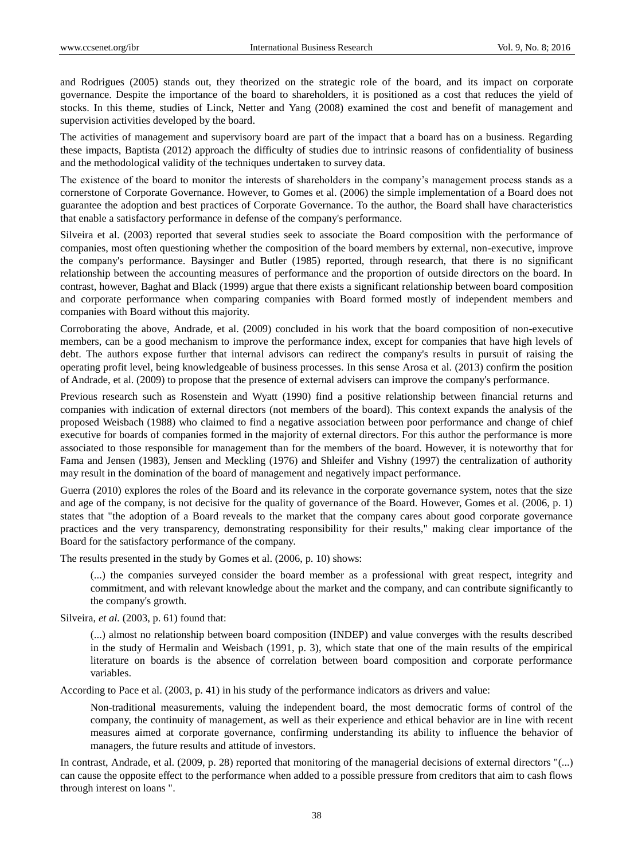and Rodrigues (2005) stands out, they theorized on the strategic role of the board, and its impact on corporate governance. Despite the importance of the board to shareholders, it is positioned as a cost that reduces the yield of stocks. In this theme, studies of Linck, Netter and Yang (2008) examined the cost and benefit of management and supervision activities developed by the board.

The activities of management and supervisory board are part of the impact that a board has on a business. Regarding these impacts, Baptista (2012) approach the difficulty of studies due to intrinsic reasons of confidentiality of business and the methodological validity of the techniques undertaken to survey data.

The existence of the board to monitor the interests of shareholders in the company's management process stands as a cornerstone of Corporate Governance. However, to Gomes et al. (2006) the simple implementation of a Board does not guarantee the adoption and best practices of Corporate Governance. To the author, the Board shall have characteristics that enable a satisfactory performance in defense of the company's performance.

Silveira et al. (2003) reported that several studies seek to associate the Board composition with the performance of companies, most often questioning whether the composition of the board members by external, non-executive, improve the company's performance. Baysinger and Butler (1985) reported, through research, that there is no significant relationship between the accounting measures of performance and the proportion of outside directors on the board. In contrast, however, Baghat and Black (1999) argue that there exists a significant relationship between board composition and corporate performance when comparing companies with Board formed mostly of independent members and companies with Board without this majority.

Corroborating the above, Andrade, et al. (2009) concluded in his work that the board composition of non-executive members, can be a good mechanism to improve the performance index, except for companies that have high levels of debt. The authors expose further that internal advisors can redirect the company's results in pursuit of raising the operating profit level, being knowledgeable of business processes. In this sense Arosa et al. (2013) confirm the position of Andrade, et al. (2009) to propose that the presence of external advisers can improve the company's performance.

Previous research such as Rosenstein and Wyatt (1990) find a positive relationship between financial returns and companies with indication of external directors (not members of the board). This context expands the analysis of the proposed Weisbach (1988) who claimed to find a negative association between poor performance and change of chief executive for boards of companies formed in the majority of external directors. For this author the performance is more associated to those responsible for management than for the members of the board. However, it is noteworthy that for Fama and Jensen (1983), Jensen and Meckling (1976) and Shleifer and Vishny (1997) the centralization of authority may result in the domination of the board of management and negatively impact performance.

Guerra (2010) explores the roles of the Board and its relevance in the corporate governance system, notes that the size and age of the company, is not decisive for the quality of governance of the Board. However, Gomes et al. (2006, p. 1) states that "the adoption of a Board reveals to the market that the company cares about good corporate governance practices and the very transparency, demonstrating responsibility for their results," making clear importance of the Board for the satisfactory performance of the company.

The results presented in the study by Gomes et al. (2006, p. 10) shows:

(...) the companies surveyed consider the board member as a professional with great respect, integrity and commitment, and with relevant knowledge about the market and the company, and can contribute significantly to the company's growth.

Silveira, *et al.* (2003, p. 61) found that:

(...) almost no relationship between board composition (INDEP) and value converges with the results described in the study of Hermalin and Weisbach (1991, p. 3), which state that one of the main results of the empirical literature on boards is the absence of correlation between board composition and corporate performance variables.

According to Pace et al. (2003, p. 41) in his study of the performance indicators as drivers and value:

Non-traditional measurements, valuing the independent board, the most democratic forms of control of the company, the continuity of management, as well as their experience and ethical behavior are in line with recent measures aimed at corporate governance, confirming understanding its ability to influence the behavior of managers, the future results and attitude of investors.

In contrast, Andrade, et al. (2009, p. 28) reported that monitoring of the managerial decisions of external directors "(...) can cause the opposite effect to the performance when added to a possible pressure from creditors that aim to cash flows through interest on loans ".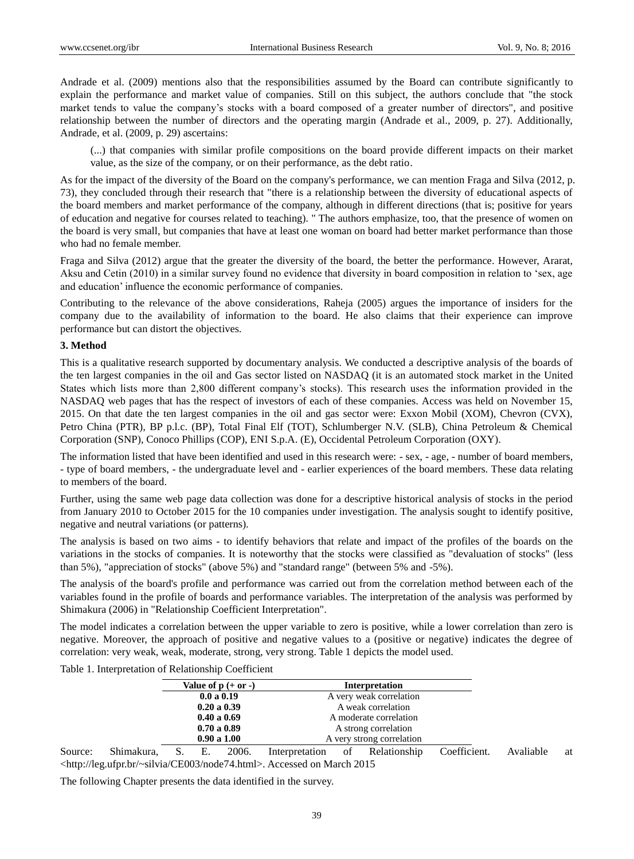Andrade et al. (2009) mentions also that the responsibilities assumed by the Board can contribute significantly to explain the performance and market value of companies. Still on this subject, the authors conclude that "the stock market tends to value the company's stocks with a board composed of a greater number of directors", and positive relationship between the number of directors and the operating margin (Andrade et al., 2009, p. 27). Additionally, Andrade, et al. (2009, p. 29) ascertains:

(...) that companies with similar profile compositions on the board provide different impacts on their market value, as the size of the company, or on their performance, as the debt ratio.

As for the impact of the diversity of the Board on the company's performance, we can mention Fraga and Silva (2012, p. 73), they concluded through their research that "there is a relationship between the diversity of educational aspects of the board members and market performance of the company, although in different directions (that is; positive for years of education and negative for courses related to teaching). " The authors emphasize, too, that the presence of women on the board is very small, but companies that have at least one woman on board had better market performance than those who had no female member.

Fraga and Silva (2012) argue that the greater the diversity of the board, the better the performance. However, Ararat, Aksu and Cetin (2010) in a similar survey found no evidence that diversity in board composition in relation to 'sex, age and education' influence the economic performance of companies.

Contributing to the relevance of the above considerations, Raheja (2005) argues the importance of insiders for the company due to the availability of information to the board. He also claims that their experience can improve performance but can distort the objectives.

## **3. Method**

This is a qualitative research supported by documentary analysis. We conducted a descriptive analysis of the boards of the ten largest companies in the oil and Gas sector listed on NASDAQ (it is an automated stock market in the United States which lists more than 2,800 different company's stocks). This research uses the information provided in the NASDAQ web pages that has the respect of investors of each of these companies. Access was held on November 15, 2015. On that date the ten largest companies in the oil and gas sector were: Exxon Mobil (XOM), Chevron (CVX), Petro China (PTR), BP p.l.c. (BP), Total Final Elf (TOT), Schlumberger N.V. (SLB), China Petroleum & Chemical Corporation (SNP), Conoco Phillips (COP), ENI S.p.A. (E), Occidental Petroleum Corporation (OXY).

The information listed that have been identified and used in this research were: - sex, - age, - number of board members, - type of board members, - the undergraduate level and - earlier experiences of the board members. These data relating to members of the board.

Further, using the same web page data collection was done for a descriptive historical analysis of stocks in the period from January 2010 to October 2015 for the 10 companies under investigation. The analysis sought to identify positive, negative and neutral variations (or patterns).

The analysis is based on two aims - to identify behaviors that relate and impact of the profiles of the boards on the variations in the stocks of companies. It is noteworthy that the stocks were classified as "devaluation of stocks" (less than 5%), "appreciation of stocks" (above 5%) and "standard range" (between 5% and -5%).

The analysis of the board's profile and performance was carried out from the correlation method between each of the variables found in the profile of boards and performance variables. The interpretation of the analysis was performed by Shimakura (2006) in "Relationship Coefficient Interpretation".

The model indicates a correlation between the upper variable to zero is positive, while a lower correlation than zero is negative. Moreover, the approach of positive and negative values to a (positive or negative) indicates the degree of correlation: very weak, weak, moderate, strong, very strong. Table 1 depicts the model used.

Table 1. Interpretation of Relationship Coefficient

| Value of $p (+ or -)$ | <b>Interpretation</b>     |
|-----------------------|---------------------------|
| 0.0 a 0.19            | A very weak correlation   |
| 0.20 a 0.39           | A weak correlation        |
| 0.40 a 0.69           | A moderate correlation    |
| 0.70 a 0.89           | A strong correlation      |
| 0.90 a 1.00           | A very strong correlation |

Source: Shimakura, S. E. 2006. Interpretation of Relationship Coefficient. Avaliable at <http://leg.ufpr.br/~silvia/CE003/node74.html>. Accessed on March 2015

The following Chapter presents the data identified in the survey.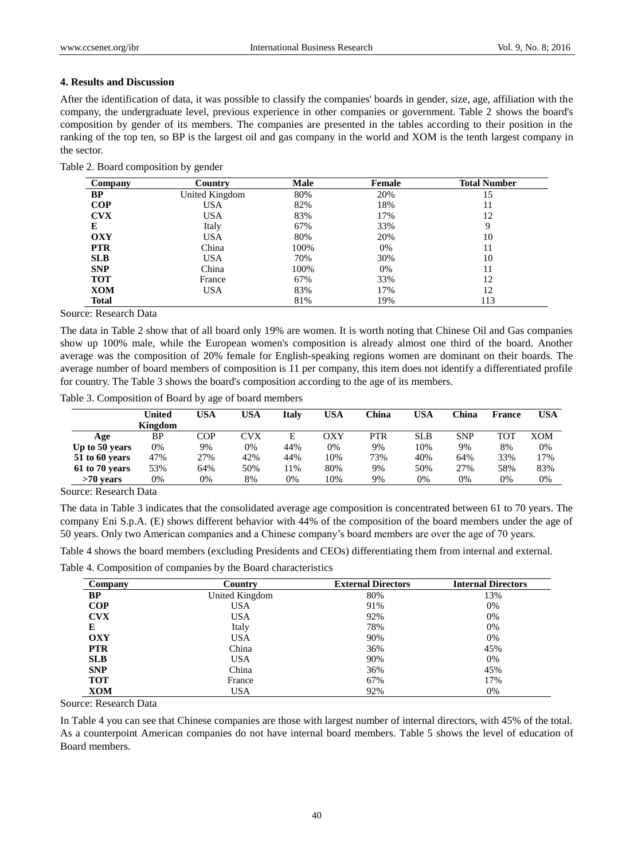#### **4. Results and Discussion**

After the identification of data, it was possible to classify the companies' boards in gender, size, age, affiliation with the company, the undergraduate level, previous experience in other companies or government. Table 2 shows the board's composition by gender of its members. The companies are presented in the tables according to their position in the ranking of the top ten, so BP is the largest oil and gas company in the world and XOM is the tenth largest company in the sector.

Table 2. Board composition by gender

| Company    | Country        | Male | Female | <b>Total Number</b> |
|------------|----------------|------|--------|---------------------|
| <b>BP</b>  | United Kingdom | 80%  | 20%    | 15                  |
| COP        | <b>USA</b>     | 82%  | 18%    | 11                  |
| <b>CVX</b> | <b>USA</b>     | 83%  | 17%    | 12                  |
| E          | Italy          | 67%  | 33%    | Q                   |
| <b>OXY</b> | <b>USA</b>     | 80%  | 20%    | 10                  |
| <b>PTR</b> | China          | 100% | $0\%$  | 11                  |
| <b>SLB</b> | <b>USA</b>     | 70%  | 30%    | 10                  |
| <b>SNP</b> | China          | 100% | $0\%$  | 11                  |
| <b>TOT</b> | France         | 67%  | 33%    | 12                  |
| <b>XOM</b> | <b>USA</b>     | 83%  | 17%    | 12                  |
| Total      |                | 81%  | 19%    | 113                 |

Source: Research Data

The data in Table 2 show that of all board only 19% are women. It is worth noting that Chinese Oil and Gas companies show up 100% male, while the European women's composition is already almost one third of the board. Another average was the composition of 20% female for English-speaking regions women are dominant on their boards. The average number of board members of composition is 11 per company, this item does not identify a differentiated profile for country. The Table 3 shows the board's composition according to the age of its members.

Table 3. Composition of Board by age of board members

|                | United<br>Kingdom | USA | USA | Italv | <b>USA</b> | China | USA        | $^\circ$ hina | France | USA |
|----------------|-------------------|-----|-----|-------|------------|-------|------------|---------------|--------|-----|
| Age            | ΒP                | COP | CVX | E     | OXY        | PTR   | <b>SLB</b> | <b>SNP</b>    | TOT    | XOM |
| Up to 50 years | 0%                | 9%  | 0%  | 44%   | 0%         | 9%    | 10%        | 9%            | 8%     | 0%  |
| 51 to 60 years | 47%               | 27% | 42% | 44%   | 10%        | 73%   | 40%        | 64%           | 33%    | 17% |
| 61 to 70 years | 53%               | 64% | 50% | 11%   | 80%        | 9%    | 50%        | 27%           | 58%    | 83% |
| $>70$ vears    | 0%                | 0%  | 8%  | 0%    | 10%        | 9%    | 0%         | 0%            | 0%     | 0%  |

Source: Research Data

The data in Table 3 indicates that the consolidated average age composition is concentrated between 61 to 70 years. The company Eni S.p.A. (E) shows different behavior with 44% of the composition of the board members under the age of 50 years. Only two American companies and a Chinese company's board members are over the age of 70 years.

Table 4 shows the board members (excluding Presidents and CEOs) differentiating them from internal and external.

Table 4. Composition of companies by the Board characteristics

| Company    | Country        | <b>External Directors</b> | <b>Internal Directors</b> |
|------------|----------------|---------------------------|---------------------------|
| <b>BP</b>  | United Kingdom | 80%                       | 13%                       |
| COP        | <b>USA</b>     | 91%                       | 0%                        |
| <b>CVX</b> | <b>USA</b>     | 92%                       | 0%                        |
| E          | Italy          | 78%                       | 0%                        |
| <b>OXY</b> | <b>USA</b>     | 90%                       | 0%                        |
| <b>PTR</b> | China          | 36%                       | 45%                       |
| <b>SLB</b> | <b>USA</b>     | 90%                       | $0\%$                     |
| <b>SNP</b> | China          | 36%                       | 45%                       |
| <b>TOT</b> | France         | 67%                       | 17%                       |
| XOM        | <b>USA</b>     | 92%                       | 0%                        |

Source: Research Data

In Table 4 you can see that Chinese companies are those with largest number of internal directors, with 45% of the total. As a counterpoint American companies do not have internal board members. Table 5 shows the level of education of Board members.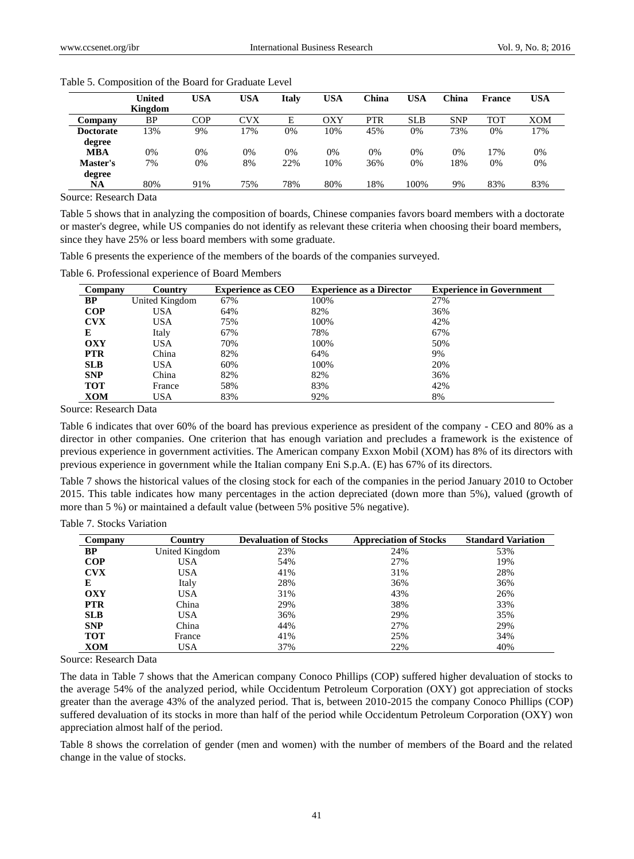|                  | United  | <b>USA</b> | <b>USA</b> | Italv | USA | China      | <b>USA</b> | China      | <b>France</b> | USA        |
|------------------|---------|------------|------------|-------|-----|------------|------------|------------|---------------|------------|
|                  | Kingdom |            |            |       |     |            |            |            |               |            |
| Company          | BP      | COP        | CVX        | E     | OXY | <b>PTR</b> | <b>SLB</b> | <b>SNP</b> | <b>TOT</b>    | <b>XOM</b> |
| <b>Doctorate</b> | 13%     | 9%         | 7%         | 0%    | 10% | 45%        | 0%         | 73%        | 0%            | 17%        |
| degree           |         |            |            |       |     |            |            |            |               |            |
| <b>MBA</b>       | 0%      | 0%         | 0%         | 0%    | 0%  | 0%         | 0%         | 0%         | 17%           | 0%         |
| Master's         | 7%      | 0%         | 8%         | 22%   | 10% | 36%        | 0%         | 18%        | 0%            | 0%         |
| degree           |         |            |            |       |     |            |            |            |               |            |
| NA               | 80%     | 91%        | 75%        | 78%   | 80% | 18%        | 100%       | 9%         | 83%           | 83%        |

Table 5. Composition of the Board for Graduate Level

Source: Research Data

Table 5 shows that in analyzing the composition of boards, Chinese companies favors board members with a doctorate or master's degree, while US companies do not identify as relevant these criteria when choosing their board members, since they have 25% or less board members with some graduate.

Table 6 presents the experience of the members of the boards of the companies surveyed.

Table 6. Professional experience of Board Members

| Company    | Country        | <b>Experience as CEO</b> | <b>Experience as a Director</b> | <b>Experience in Government</b> |
|------------|----------------|--------------------------|---------------------------------|---------------------------------|
| BP         | United Kingdom | 67%                      | 100%                            | 27%                             |
| <b>COP</b> | USA            | 64%                      | 82%                             | 36%                             |
| <b>CVX</b> | <b>USA</b>     | 75%                      | 100%                            | 42%                             |
| Е          | Italy          | 67%                      | 78%                             | 67%                             |
| <b>OXY</b> | USA            | 70%                      | 100%                            | 50%                             |
| <b>PTR</b> | China          | 82%                      | 64%                             | 9%                              |
| <b>SLB</b> | USA            | 60%                      | 100%                            | 20%                             |
| <b>SNP</b> | China          | 82%                      | 82%                             | 36%                             |
| <b>TOT</b> | France         | 58%                      | 83%                             | 42%                             |
| XOM        | USA            | 83%                      | 92%                             | 8%                              |

Source: Research Data

Table 6 indicates that over 60% of the board has previous experience as president of the company - CEO and 80% as a director in other companies. One criterion that has enough variation and precludes a framework is the existence of previous experience in government activities. The American company Exxon Mobil (XOM) has 8% of its directors with previous experience in government while the Italian company Eni S.p.A. (E) has 67% of its directors.

Table 7 shows the historical values of the closing stock for each of the companies in the period January 2010 to October 2015. This table indicates how many percentages in the action depreciated (down more than 5%), valued (growth of more than 5 %) or maintained a default value (between 5% positive 5% negative).

| Table 7. Stocks Variation |  |
|---------------------------|--|
|---------------------------|--|

| Company    | Country        | <b>Devaluation of Stocks</b> | <b>Appreciation of Stocks</b> | <b>Standard Variation</b> |
|------------|----------------|------------------------------|-------------------------------|---------------------------|
| BP         | United Kingdom | 23%                          | 24%                           | 53%                       |
| <b>COP</b> | <b>USA</b>     | 54%                          | 27%                           | 19%                       |
| <b>CVX</b> | <b>USA</b>     | 41%                          | 31%                           | 28%                       |
| E          | Italy          | 28%                          | 36%                           | 36%                       |
| OXY        | <b>USA</b>     | 31%                          | 43%                           | 26%                       |
| <b>PTR</b> | China          | 29%                          | 38%                           | 33%                       |
| <b>SLB</b> | <b>USA</b>     | 36%                          | 29%                           | 35%                       |
| <b>SNP</b> | China          | 44%                          | 27%                           | 29%                       |
| <b>TOT</b> | France         | 41%                          | 25%                           | 34%                       |
| XOM        | USA            | 37%                          | 22%                           | 40%                       |

Source: Research Data

The data in Table 7 shows that the American company Conoco Phillips (COP) suffered higher devaluation of stocks to the average 54% of the analyzed period, while Occidentum Petroleum Corporation (OXY) got appreciation of stocks greater than the average 43% of the analyzed period. That is, between 2010-2015 the company Conoco Phillips (COP) suffered devaluation of its stocks in more than half of the period while Occidentum Petroleum Corporation (OXY) won appreciation almost half of the period.

Table 8 shows the correlation of gender (men and women) with the number of members of the Board and the related change in the value of stocks.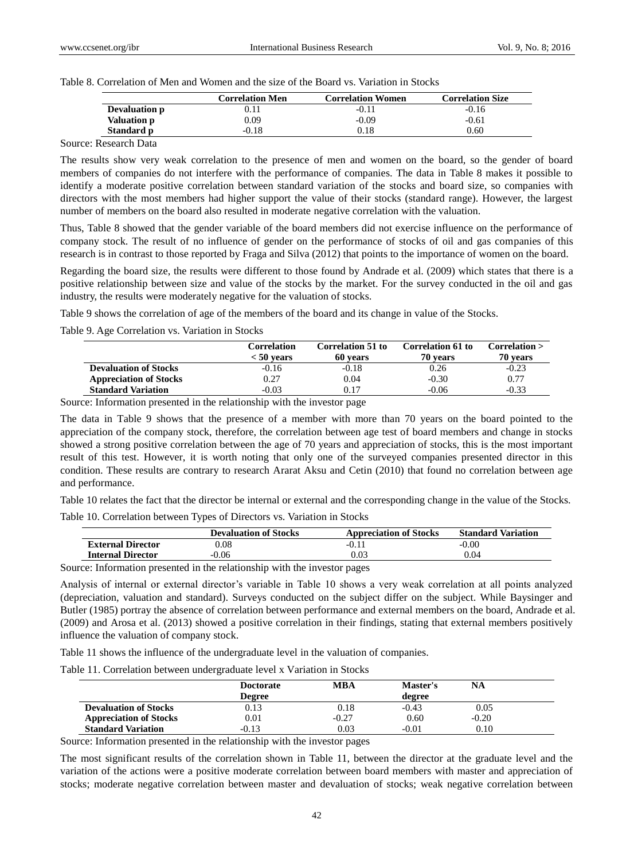Table 8. Correlation of Men and Women and the size of the Board vs. Variation in Stocks

|                    | <b>Correlation Men</b> | <b>Correlation Women</b> | <b>Correlation Size</b> |
|--------------------|------------------------|--------------------------|-------------------------|
| Devaluation p      |                        | $-0.11$                  | $-0.16$                 |
| <b>Valuation p</b> | 0.09                   | $-0.09$                  | $-0.61$                 |
| Standard p         | $-0.18$                | 0.18                     | 0.60                    |

## Source: Research Data

The results show very weak correlation to the presence of men and women on the board, so the gender of board members of companies do not interfere with the performance of companies. The data in Table 8 makes it possible to identify a moderate positive correlation between standard variation of the stocks and board size, so companies with directors with the most members had higher support the value of their stocks (standard range). However, the largest number of members on the board also resulted in moderate negative correlation with the valuation.

Thus, Table 8 showed that the gender variable of the board members did not exercise influence on the performance of company stock. The result of no influence of gender on the performance of stocks of oil and gas companies of this research is in contrast to those reported by Fraga and Silva (2012) that points to the importance of women on the board.

Regarding the board size, the results were different to those found by Andrade et al. (2009) which states that there is a positive relationship between size and value of the stocks by the market. For the survey conducted in the oil and gas industry, the results were moderately negative for the valuation of stocks.

Table 9 shows the correlation of age of the members of the board and its change in value of the Stocks.

Table 9. Age Correlation vs. Variation in Stocks

|                               | <b>Correlation</b><br>$< 50$ vears | <b>Correlation 51 to</b><br>60 vears | <b>Correlation 61 to</b><br>70 years | Correlation<br>70 vears |
|-------------------------------|------------------------------------|--------------------------------------|--------------------------------------|-------------------------|
| <b>Devaluation of Stocks</b>  | $-0.16$                            | $-0.18$                              | 0.26                                 | $-0.23$                 |
| <b>Appreciation of Stocks</b> | 0.27                               | 0.04                                 | $-0.30$                              | 0.77                    |
| <b>Standard Variation</b>     | $-0.03$                            | 0.17                                 | $-0.06$                              | $-0.33$                 |

Source: Information presented in the relationship with the investor page

The data in Table 9 shows that the presence of a member with more than 70 years on the board pointed to the appreciation of the company stock, therefore, the correlation between age test of board members and change in stocks showed a strong positive correlation between the age of 70 years and appreciation of stocks, this is the most important result of this test. However, it is worth noting that only one of the surveyed companies presented director in this condition. These results are contrary to research Ararat Aksu and Cetin (2010) that found no correlation between age and performance.

Table 10 relates the fact that the director be internal or external and the corresponding change in the value of the Stocks. Table 10. Correlation between Types of Directors vs. Variation in Stocks

|                          | <b>Devaluation of Stocks</b> | <b>Appreciation of Stocks</b> | <b>Standard Variation</b> |
|--------------------------|------------------------------|-------------------------------|---------------------------|
| <b>External Director</b> | 0.08                         | $-0.1$                        | $-0.00$                   |
| <b>Internal Director</b> | $-0.06$                      | 0.03                          | 0.04                      |

Source: Information presented in the relationship with the investor pages

Analysis of internal or external director's variable in Table 10 shows a very weak correlation at all points analyzed (depreciation, valuation and standard). Surveys conducted on the subject differ on the subject. While Baysinger and Butler (1985) portray the absence of correlation between performance and external members on the board, Andrade et al. (2009) and Arosa et al. (2013) showed a positive correlation in their findings, stating that external members positively influence the valuation of company stock.

Table 11 shows the influence of the undergraduate level in the valuation of companies.

Table 11. Correlation between undergraduate level x Variation in Stocks

|                               | <b>Doctorate</b> | MBA     | <b>Master's</b> | <b>NA</b> |
|-------------------------------|------------------|---------|-----------------|-----------|
|                               | <b>Degree</b>    |         | degree          |           |
| <b>Devaluation of Stocks</b>  | 0.13             | 0.18    | $-0.43$         | 0.05      |
| <b>Appreciation of Stocks</b> | 0.01             | $-0.27$ | 0.60            | $-0.20$   |
| <b>Standard Variation</b>     | $-0.13$          | 0.03    | $-0.01$         | 0.10      |

Source: Information presented in the relationship with the investor pages

The most significant results of the correlation shown in Table 11, between the director at the graduate level and the variation of the actions were a positive moderate correlation between board members with master and appreciation of stocks; moderate negative correlation between master and devaluation of stocks; weak negative correlation between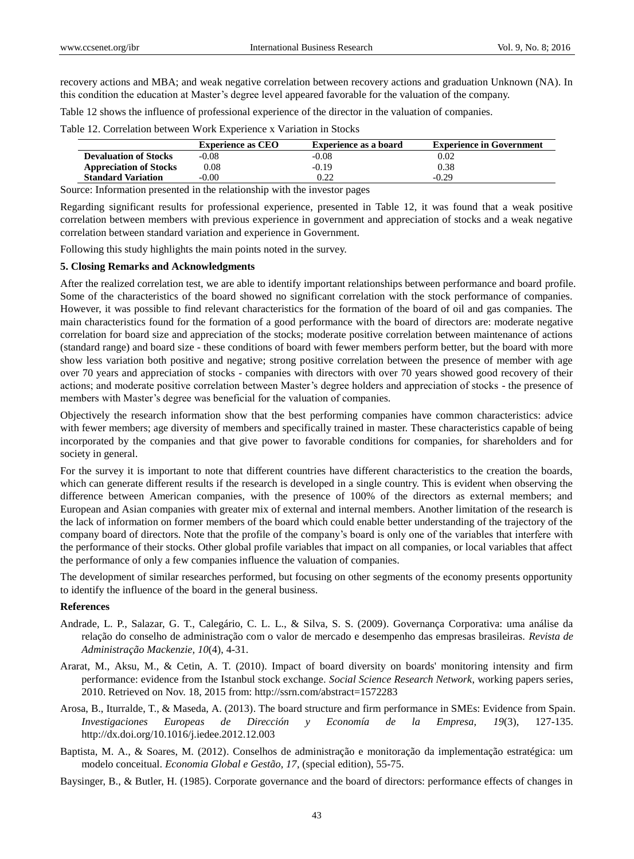recovery actions and MBA; and weak negative correlation between recovery actions and graduation Unknown (NA). In this condition the education at Master's degree level appeared favorable for the valuation of the company.

Table 12 shows the influence of professional experience of the director in the valuation of companies.

Table 12. Correlation between Work Experience x Variation in Stocks

|                               | <b>Experience as CEO</b> | Experience as a board | <b>Experience in Government</b> |
|-------------------------------|--------------------------|-----------------------|---------------------------------|
| <b>Devaluation of Stocks</b>  | $-0.08$                  | $-0.08$               | 0.02                            |
| <b>Appreciation of Stocks</b> | 0.08                     | $-0.19$               | 0.38                            |
| <b>Standard Variation</b>     | $-0.00$                  | 0.22                  | $-0.29$                         |

Source: Information presented in the relationship with the investor pages

Regarding significant results for professional experience, presented in Table 12, it was found that a weak positive correlation between members with previous experience in government and appreciation of stocks and a weak negative correlation between standard variation and experience in Government.

Following this study highlights the main points noted in the survey.

#### **5. Closing Remarks and Acknowledgments**

After the realized correlation test, we are able to identify important relationships between performance and board profile. Some of the characteristics of the board showed no significant correlation with the stock performance of companies. However, it was possible to find relevant characteristics for the formation of the board of oil and gas companies. The main characteristics found for the formation of a good performance with the board of directors are: moderate negative correlation for board size and appreciation of the stocks; moderate positive correlation between maintenance of actions (standard range) and board size - these conditions of board with fewer members perform better, but the board with more show less variation both positive and negative; strong positive correlation between the presence of member with age over 70 years and appreciation of stocks - companies with directors with over 70 years showed good recovery of their actions; and moderate positive correlation between Master's degree holders and appreciation of stocks - the presence of members with Master's degree was beneficial for the valuation of companies.

Objectively the research information show that the best performing companies have common characteristics: advice with fewer members; age diversity of members and specifically trained in master. These characteristics capable of being incorporated by the companies and that give power to favorable conditions for companies, for shareholders and for society in general.

For the survey it is important to note that different countries have different characteristics to the creation the boards, which can generate different results if the research is developed in a single country. This is evident when observing the difference between American companies, with the presence of 100% of the directors as external members; and European and Asian companies with greater mix of external and internal members. Another limitation of the research is the lack of information on former members of the board which could enable better understanding of the trajectory of the company board of directors. Note that the profile of the company's board is only one of the variables that interfere with the performance of their stocks. Other global profile variables that impact on all companies, or local variables that affect the performance of only a few companies influence the valuation of companies.

The development of similar researches performed, but focusing on other segments of the economy presents opportunity to identify the influence of the board in the general business.

#### **References**

- Andrade, L. P., Salazar, G. T., Calegário, C. L. L., & Silva, S. S. (2009). Governança Corporativa: uma análise da relação do conselho de administração com o valor de mercado e desempenho das empresas brasileiras. *Revista de Administração Mackenzie, 10*(4), 4-31.
- Ararat, M., Aksu, M., & Cetin, A. T. (2010). Impact of board diversity on boards' monitoring intensity and firm performance: evidence from the Istanbul stock exchange. *Social Science Research Network*, working papers series, 2010. Retrieved on Nov. 18, 2015 from: http://ssrn.com/abstract=1572283
- Arosa, B., Iturralde, T., & Maseda, A. (2013). The board structure and firm performance in SMEs: Evidence from Spain. *Investigaciones Europeas de Dirección y Economía de la Empresa, 19*(3), 127-135. <http://dx.doi.org/10.1016/j.iedee.2012.12.003>
- Baptista, M. A., & Soares, M. (2012). Conselhos de administração e monitoração da implementação estratégica: um modelo conceitual. *Economia Global e Gestão, 17*, (special edition), 55-75.

Baysinger, B., & Butler, H. (1985). Corporate governance and the board of directors: performance effects of changes in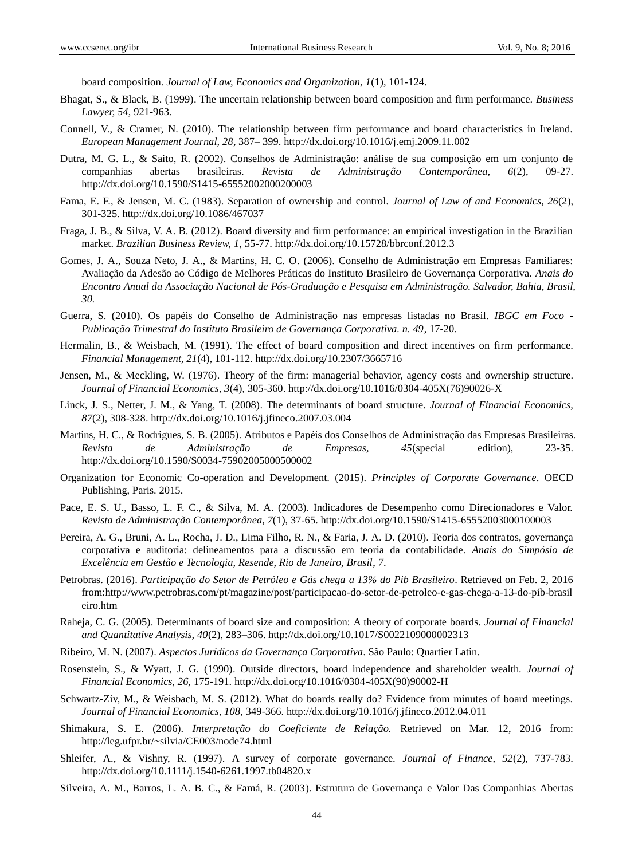board composition. *Journal of Law, Economics and Organization, 1*(1), 101-124.

- Bhagat, S., & Black, B. (1999). The uncertain relationship between board composition and firm performance. *Business Lawyer, 54*, 921-963.
- Connell, V., & Cramer, N. (2010). The relationship between firm performance and board characteristics in Ireland. *European Management Journal, 28*, 387– 399. <http://dx.doi.org/10.1016/j.emj.2009.11.002>
- Dutra, M. G. L., & Saito, R. (2002). Conselhos de Administração: análise de sua composição em um conjunto de companhias abertas brasileiras. *Revista de Administração Contemporânea, 6*(2), 09-27. <http://dx.doi.org/10.1590/S1415-65552002000200003>
- Fama, E. F., & Jensen, M. C. (1983). Separation of ownership and control. *Journal of Law of and Economics, 26*(2), 301-325.<http://dx.doi.org/10.1086/467037>
- Fraga, J. B., & Silva, V. A. B. (2012). Board diversity and firm performance: an empirical investigation in the Brazilian market. *Brazilian Business Review, 1*, 55-77. <http://dx.doi.org/10.15728/bbrconf.2012.3>
- Gomes, J. A., Souza Neto, J. A., & Martins, H. C. O. (2006). Conselho de Administração em Empresas Familiares: Avaliação da Adesão ao Código de Melhores Práticas do Instituto Brasileiro de Governança Corporativa. *Anais do Encontro Anual da Associação Nacional de Pós-Graduação e Pesquisa em Administração. Salvador, Bahia, Brasil, 30.*
- Guerra, S. (2010). Os papéis do Conselho de Administração nas empresas listadas no Brasil. *IBGC em Foco - Publicação Trimestral do Instituto Brasileiro de Governança Corporativa. n. 49*, 17-20.
- Hermalin, B., & Weisbach, M. (1991). The effect of board composition and direct incentives on firm performance. *Financial Management, 21*(4), 101-112.<http://dx.doi.org/10.2307/3665716>
- Jensen, M., & Meckling, W. (1976). Theory of the firm: managerial behavior, agency costs and ownership structure. *Journal of Financial Economics, 3*(4), 305-360. [http://dx.doi.org/10.1016/0304-405X\(76\)90026-X](http://dx.doi.org/10.1016/0304-405X%2876%2990026-X)
- Linck, J. S., Netter, J. M., & Yang, T. (2008). The determinants of board structure. *Journal of Financial Economics, 87*(2), 308-328. <http://dx.doi.org/10.1016/j.jfineco.2007.03.004>
- Martins, H. C., & Rodrigues, S. B. (2005). Atributos e Papéis dos Conselhos de Administração das Empresas Brasileiras. *Revista de Administração de Empresas, 45*(special edition), 23-35. <http://dx.doi.org/10.1590/S0034-75902005000500002>
- Organization for Economic Co-operation and Development. (2015). *Principles of Corporate Governance*. OECD Publishing, Paris. 2015.
- Pace, E. S. U., Basso, L. F. C., & Silva, M. A. (2003). Indicadores de Desempenho como Direcionadores e Valor. *Revista de Administração Contemporânea, 7*(1), 37-65. <http://dx.doi.org/10.1590/S1415-65552003000100003>
- Pereira, A. G., Bruni, A. L., Rocha, J. D., Lima Filho, R. N., & Faria, J. A. D. (2010). Teoria dos contratos, governança corporativa e auditoria: delineamentos para a discussão em teoria da contabilidade. *Anais do Simpósio de Excelência em Gestão e Tecnologia, Resende, Rio de Janeiro, Brasil*, *7*.
- Petrobras. (2016). *Participação do Setor de Petróleo e Gás chega a 13% do Pib Brasileiro*. Retrieved on Feb. 2, 2016 from:http://www.petrobras.com/pt/magazine/post/participacao-do-setor-de-petroleo-e-gas-chega-a-13-do-pib-brasil eiro.htm
- Raheja, C. G. (2005). Determinants of board size and composition: A theory of corporate boards. *Journal of Financial and Quantitative Analysis, 40*(2), 283–306. <http://dx.doi.org/10.1017/S0022109000002313>
- Ribeiro, M. N. (2007). *Aspectos Jurídicos da Governança Corporativa*. São Paulo: Quartier Latin.
- Rosenstein, S., & Wyatt, J. G. (1990). Outside directors, board independence and shareholder wealth. *Journal of Financial Economics, 26,* 175-191. [http://dx.doi.org/10.1016/0304-405X\(90\)90002-H](http://dx.doi.org/10.1016/0304-405X%2890%2990002-H)
- Schwartz-Ziv, M., & Weisbach, M. S. (2012). What do boards really do? Evidence from minutes of board meetings. *Journal of Financial Economics, 108*, 349-366.<http://dx.doi.org/10.1016/j.jfineco.2012.04.011>
- Shimakura, S. E. (2006). *Interpretação do Coeficiente de Relação.* Retrieved on Mar. 12, 2016 from: http://leg.ufpr.br/~silvia/CE003/node74.html
- Shleifer, A., & Vishny, R. (1997). A survey of corporate governance*. Journal of Finance, 52*(2), 737-783. <http://dx.doi.org/10.1111/j.1540-6261.1997.tb04820.x>
- Silveira, A. M., Barros, L. A. B. C., & Famá, R. (2003). Estrutura de Governança e Valor Das Companhias Abertas